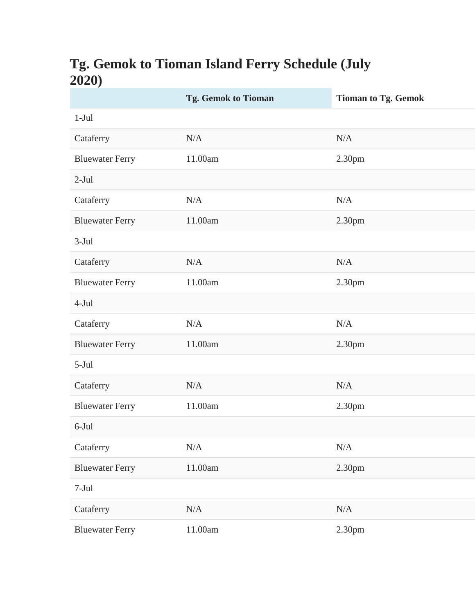## **Tg. Gemok to Tioman Island Ferry Schedule (July 2020)**

|                        | <b>Tg. Gemok to Tioman</b> | <b>Tioman to Tg. Gemok</b> |
|------------------------|----------------------------|----------------------------|
| $1-Jul$                |                            |                            |
| Cataferry              | N/A                        | N/A                        |
| <b>Bluewater Ferry</b> | 11.00am                    | 2.30pm                     |
| $2-Jul$                |                            |                            |
| Cataferry              | N/A                        | N/A                        |
| <b>Bluewater Ferry</b> | 11.00am                    | 2.30pm                     |
| $3-Jul$                |                            |                            |
| Cataferry              | N/A                        | N/A                        |
| <b>Bluewater Ferry</b> | 11.00am                    | 2.30pm                     |
| $4-Jul$                |                            |                            |
| Cataferry              | N/A                        | N/A                        |
| <b>Bluewater Ferry</b> | 11.00am                    | 2.30pm                     |
| $5-Jul$                |                            |                            |
| Cataferry              | N/A                        | N/A                        |
| <b>Bluewater Ferry</b> | 11.00am                    | 2.30pm                     |
| $6$ -Jul               |                            |                            |
| Cataferry              | $\rm N/A$                  | $\rm N/A$                  |
| <b>Bluewater Ferry</b> | $11.00am$                  | 2.30pm                     |
| $7-Jul$                |                            |                            |
| Cataferry              | $\rm N/A$                  | N/A                        |
| <b>Bluewater Ferry</b> | $11.00\mathrm{am}$         | 2.30pm                     |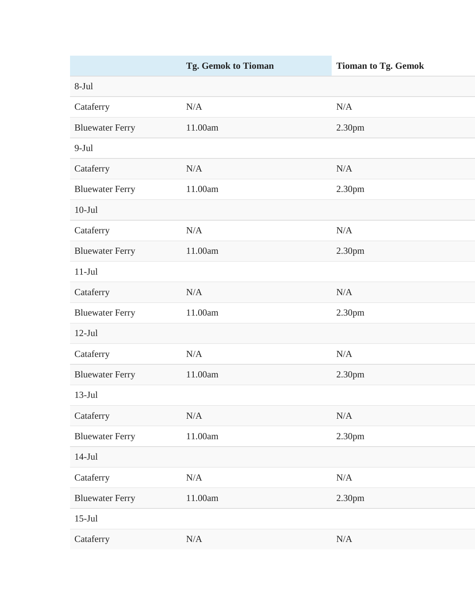|                        | Tg. Gemok to Tioman | <b>Tioman to Tg. Gemok</b> |
|------------------------|---------------------|----------------------------|
| 8-Jul                  |                     |                            |
| Cataferry              | N/A                 | N/A                        |
| <b>Bluewater Ferry</b> | 11.00am             | 2.30pm                     |
| $9-Jul$                |                     |                            |
| Cataferry              | N/A                 | N/A                        |
| <b>Bluewater Ferry</b> | 11.00am             | 2.30pm                     |
| $10-Jul$               |                     |                            |
| Cataferry              | $\rm N/A$           | N/A                        |
| <b>Bluewater Ferry</b> | 11.00am             | 2.30pm                     |
| $11-Jul$               |                     |                            |
| Cataferry              | N/A                 | N/A                        |
| <b>Bluewater Ferry</b> | 11.00am             | 2.30pm                     |
| $12-Jul$               |                     |                            |
| Cataferry              | N/A                 | N/A                        |
| <b>Bluewater Ferry</b> | 11.00am             | 2.30pm                     |
| $13-Jul$               |                     |                            |
| Cataferry              | $\rm N/A$           | $\rm N/A$                  |
| <b>Bluewater Ferry</b> | $11.00am$           | 2.30pm                     |
| $14-Jul$               |                     |                            |
| Cataferry              | $\rm N/A$           | $\rm N/A$                  |
| <b>Bluewater Ferry</b> | 11.00am             | 2.30pm                     |
| $15$ -Jul              |                     |                            |
| Cataferry              | $\rm N/A$           | $\rm N/A$                  |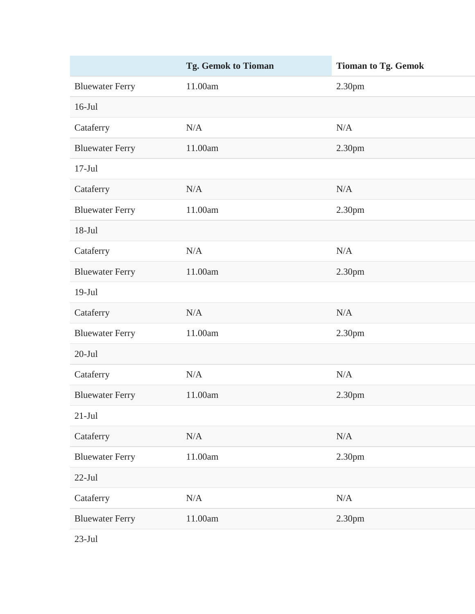|                        | <b>Tg. Gemok to Tioman</b> | <b>Tioman to Tg. Gemok</b> |
|------------------------|----------------------------|----------------------------|
| <b>Bluewater Ferry</b> | 11.00am                    | 2.30pm                     |
| $16$ -Jul              |                            |                            |
| Cataferry              | N/A                        | N/A                        |
| <b>Bluewater Ferry</b> | 11.00am                    | 2.30pm                     |
| $17-Jul$               |                            |                            |
| Cataferry              | N/A                        | N/A                        |
| <b>Bluewater Ferry</b> | 11.00am                    | 2.30pm                     |
| $18-Jul$               |                            |                            |
| Cataferry              | N/A                        | N/A                        |
| <b>Bluewater Ferry</b> | 11.00am                    | 2.30pm                     |
| $19-Jul$               |                            |                            |
| Cataferry              | N/A                        | N/A                        |
| <b>Bluewater Ferry</b> | 11.00am                    | 2.30pm                     |
| $20$ -Jul              |                            |                            |
| Cataferry              | N/A                        | N/A                        |
| <b>Bluewater Ferry</b> | 11.00am                    | 2.30 <sub>pm</sub>         |
| $21-Jul$               |                            |                            |
| Cataferry              | N/A                        | $\rm N/A$                  |
| <b>Bluewater Ferry</b> | 11.00am                    | 2.30pm                     |
| $22$ -Jul              |                            |                            |
| Cataferry              | N/A                        | $\rm N/A$                  |
| <b>Bluewater Ferry</b> | 11.00am                    | 2.30pm                     |
|                        |                            |                            |

23-Jul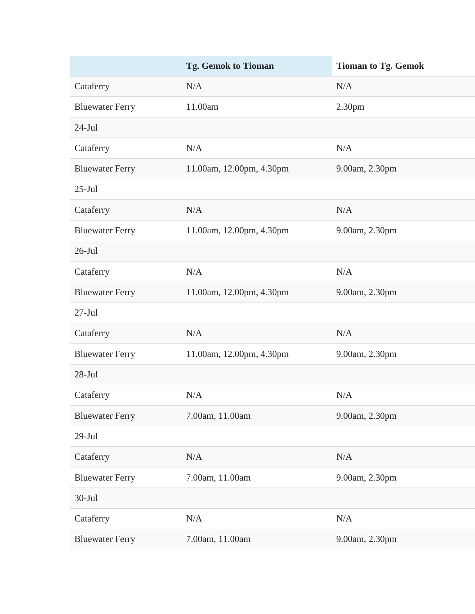|                        | <b>Tg. Gemok to Tioman</b> | <b>Tioman to Tg. Gemok</b> |
|------------------------|----------------------------|----------------------------|
| Cataferry              | N/A                        | N/A                        |
| <b>Bluewater Ferry</b> | 11.00am                    | 2.30 <sub>pm</sub>         |
| $24-Jul$               |                            |                            |
| Cataferry              | N/A                        | N/A                        |
| <b>Bluewater Ferry</b> | 11.00am, 12.00pm, 4.30pm   | 9.00am, 2.30pm             |
| $25$ -Jul              |                            |                            |
| Cataferry              | N/A                        | N/A                        |
| <b>Bluewater Ferry</b> | 11.00am, 12.00pm, 4.30pm   | 9.00am, 2.30pm             |
| $26$ -Jul              |                            |                            |
| Cataferry              | N/A                        | N/A                        |
| <b>Bluewater Ferry</b> | 11.00am, 12.00pm, 4.30pm   | 9.00am, 2.30pm             |
| $27-Jul$               |                            |                            |
| Cataferry              | N/A                        | N/A                        |
| <b>Bluewater Ferry</b> | 11.00am, 12.00pm, 4.30pm   | 9.00am, 2.30pm             |
| $28-Jul$               |                            |                            |
| Cataferry              | N/A                        | N/A                        |
| <b>Bluewater Ferry</b> | 7.00am, 11.00am            | 9.00am, 2.30pm             |
| $29-Jul$               |                            |                            |
| Cataferry              | N/A                        | N/A                        |
| <b>Bluewater Ferry</b> | 7.00am, 11.00am            | 9.00am, 2.30pm             |
| $30-Jul$               |                            |                            |
| Cataferry              | N/A                        | N/A                        |
| <b>Bluewater Ferry</b> | 7.00am, 11.00am            | 9.00am, 2.30pm             |